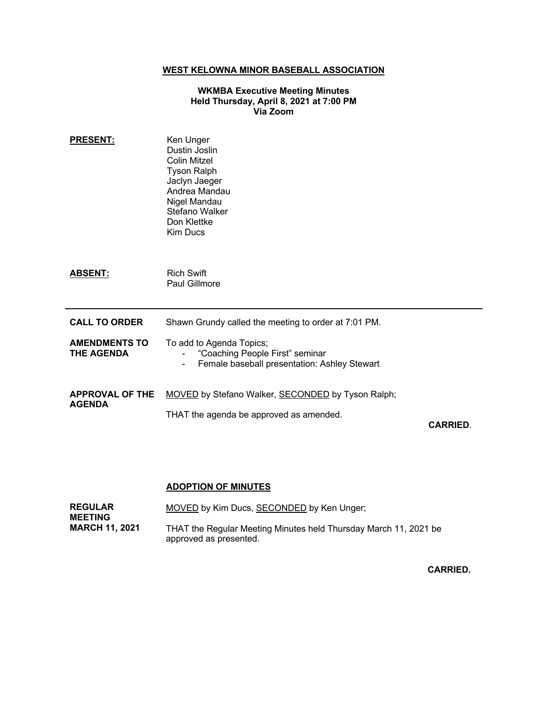## **WEST KELOWNA MINOR BASEBALL ASSOCIATION**

#### **WKMBA Executive Meeting Minutes Held Thursday, April 8, 2021 at 7:00 PM Via Zoom**

| <b>PRESENT:</b>                           | Ken Unger<br>Dustin Joslin<br>Colin Mitzel<br><b>Tyson Ralph</b><br>Jaclyn Jaeger<br>Andrea Mandau<br>Nigel Mandau<br>Stefano Walker<br>Don Klettke<br><b>Kim Ducs</b> |                 |
|-------------------------------------------|------------------------------------------------------------------------------------------------------------------------------------------------------------------------|-----------------|
| <b>ABSENT:</b>                            | <b>Rich Swift</b><br>Paul Gillmore                                                                                                                                     |                 |
| <b>CALL TO ORDER</b>                      | Shawn Grundy called the meeting to order at 7:01 PM.                                                                                                                   |                 |
| <b>AMENDMENTS TO</b><br><b>THE AGENDA</b> | To add to Agenda Topics;<br>"Coaching People First" seminar<br>Female baseball presentation: Ashley Stewart<br>$\overline{\phantom{a}}$                                |                 |
| <b>APPROVAL OF THE</b><br><b>AGENDA</b>   | <b>MOVED</b> by Stefano Walker, <b>SECONDED</b> by Tyson Ralph;<br>THAT the agenda be approved as amended.                                                             | <b>CARRIED.</b> |

### **ADOPTION OF MINUTES**

| <b>REGULAR</b><br><b>MEETING</b> | MOVED by Kim Ducs, SECONDED by Ken Unger;                                                  |
|----------------------------------|--------------------------------------------------------------------------------------------|
| <b>MARCH 11, 2021</b>            | THAT the Regular Meeting Minutes held Thursday March 11, 2021 be<br>approved as presented. |

**CARRIED.**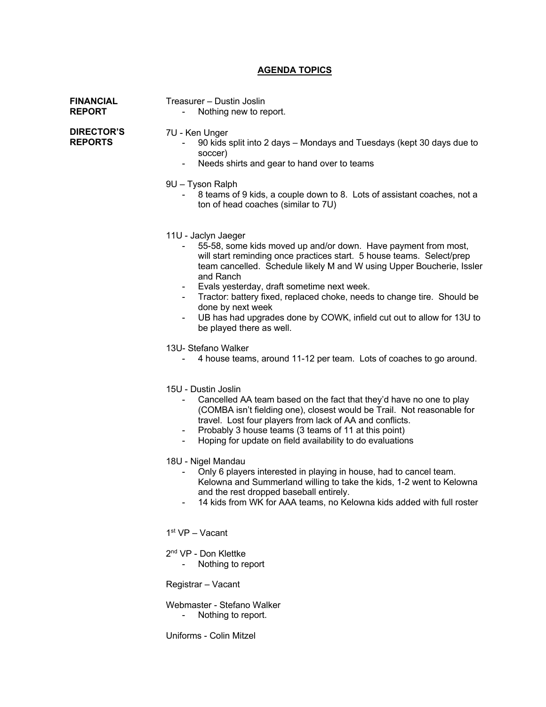## **AGENDA TOPICS**

| <b>FINANCIAL</b><br><b>REPORT</b>   | Treasurer - Dustin Joslin<br>Nothing new to report.                                                                                                                                                                                                                                                                                                                                                                                                                                                                                                                                                                                                                                                                                                                                                                                                                                                                                                                                                                                                                                                                                                                                                                                                                                                             |
|-------------------------------------|-----------------------------------------------------------------------------------------------------------------------------------------------------------------------------------------------------------------------------------------------------------------------------------------------------------------------------------------------------------------------------------------------------------------------------------------------------------------------------------------------------------------------------------------------------------------------------------------------------------------------------------------------------------------------------------------------------------------------------------------------------------------------------------------------------------------------------------------------------------------------------------------------------------------------------------------------------------------------------------------------------------------------------------------------------------------------------------------------------------------------------------------------------------------------------------------------------------------------------------------------------------------------------------------------------------------|
| <b>DIRECTOR'S</b><br><b>REPORTS</b> | 7U - Ken Unger<br>90 kids split into 2 days - Mondays and Tuesdays (kept 30 days due to<br>soccer)<br>Needs shirts and gear to hand over to teams<br>$\overline{\phantom{a}}$<br>9U - Tyson Ralph<br>8 teams of 9 kids, a couple down to 8. Lots of assistant coaches, not a<br>ton of head coaches (similar to 7U)                                                                                                                                                                                                                                                                                                                                                                                                                                                                                                                                                                                                                                                                                                                                                                                                                                                                                                                                                                                             |
|                                     | 11U - Jaclyn Jaeger<br>55-58, some kids moved up and/or down. Have payment from most,<br>will start reminding once practices start. 5 house teams. Select/prep<br>team cancelled. Schedule likely M and W using Upper Boucherie, Issler<br>and Ranch<br>Evals yesterday, draft sometime next week.<br>$\sim$ 10 $\pm$<br>Tractor: battery fixed, replaced choke, needs to change tire. Should be<br>$\sim$<br>done by next week<br>UB has had upgrades done by COWK, infield cut out to allow for 13U to<br>$\overline{\phantom{a}}$<br>be played there as well.<br>13U- Stefano Walker<br>4 house teams, around 11-12 per team. Lots of coaches to go around.<br>15U - Dustin Joslin<br>Cancelled AA team based on the fact that they'd have no one to play<br>(COMBA isn't fielding one), closest would be Trail. Not reasonable for<br>travel. Lost four players from lack of AA and conflicts.<br>Probably 3 house teams (3 teams of 11 at this point)<br>Hoping for update on field availability to do evaluations<br>18U - Nigel Mandau<br>Only 6 players interested in playing in house, had to cancel team.<br>Kelowna and Summerland willing to take the kids, 1-2 went to Kelowna<br>and the rest dropped baseball entirely.<br>14 kids from WK for AAA teams, no Kelowna kids added with full roster |
|                                     | 1 <sup>st</sup> VP - Vacant<br>2 <sup>nd</sup> VP - Don Klettke<br>Nothing to report<br>Registrar - Vacant                                                                                                                                                                                                                                                                                                                                                                                                                                                                                                                                                                                                                                                                                                                                                                                                                                                                                                                                                                                                                                                                                                                                                                                                      |

Webmaster - Stefano Walker - Nothing to report.

Uniforms - Colin Mitzel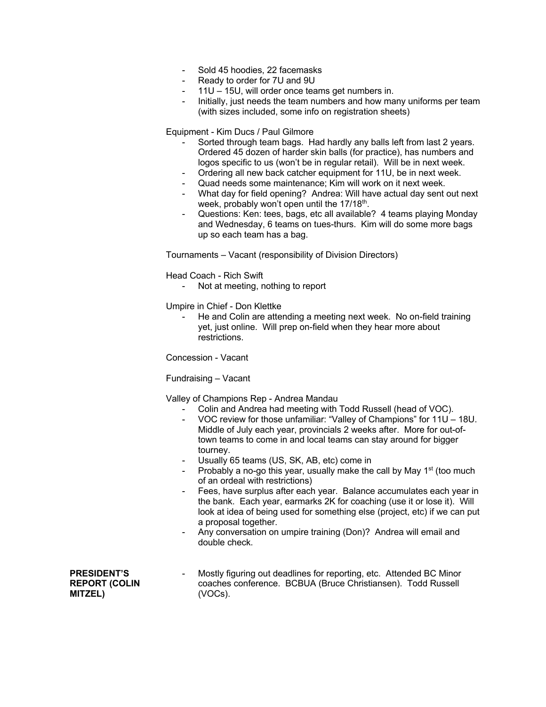- Sold 45 hoodies, 22 facemasks
- Ready to order for 7U and 9U
- 11U 15U, will order once teams get numbers in.
- Initially, just needs the team numbers and how many uniforms per team (with sizes included, some info on registration sheets)

Equipment - Kim Ducs / Paul Gilmore

- Sorted through team bags. Had hardly any balls left from last 2 years. Ordered 45 dozen of harder skin balls (for practice), has numbers and logos specific to us (won't be in regular retail). Will be in next week.
- Ordering all new back catcher equipment for 11U, be in next week.
- Quad needs some maintenance; Kim will work on it next week.
- What day for field opening? Andrea: Will have actual day sent out next week, probably won't open until the 17/18<sup>th</sup>.
- Questions: Ken: tees, bags, etc all available? 4 teams playing Monday and Wednesday, 6 teams on tues-thurs. Kim will do some more bags up so each team has a bag.

Tournaments – Vacant (responsibility of Division Directors)

Head Coach - Rich Swift

Not at meeting, nothing to report

Umpire in Chief - Don Klettke

He and Colin are attending a meeting next week. No on-field training yet, just online. Will prep on-field when they hear more about restrictions.

Concession - Vacant

Fundraising – Vacant

Valley of Champions Rep - Andrea Mandau

- Colin and Andrea had meeting with Todd Russell (head of VOC).
- VOC review for those unfamiliar: "Valley of Champions" for 11U 18U. Middle of July each year, provincials 2 weeks after. More for out-oftown teams to come in and local teams can stay around for bigger tourney.
- Usually 65 teams (US, SK, AB, etc) come in
- Probably a no-go this year, usually make the call by May 1<sup>st</sup> (too much of an ordeal with restrictions)
- Fees, have surplus after each year. Balance accumulates each year in the bank. Each year, earmarks 2K for coaching (use it or lose it). Will look at idea of being used for something else (project, etc) if we can put a proposal together.
- Any conversation on umpire training (Don)? Andrea will email and double check.

**PRESIDENT'S REPORT (COLIN MITZEL)**

Mostly figuring out deadlines for reporting, etc. Attended BC Minor coaches conference. BCBUA (Bruce Christiansen). Todd Russell (VOCs).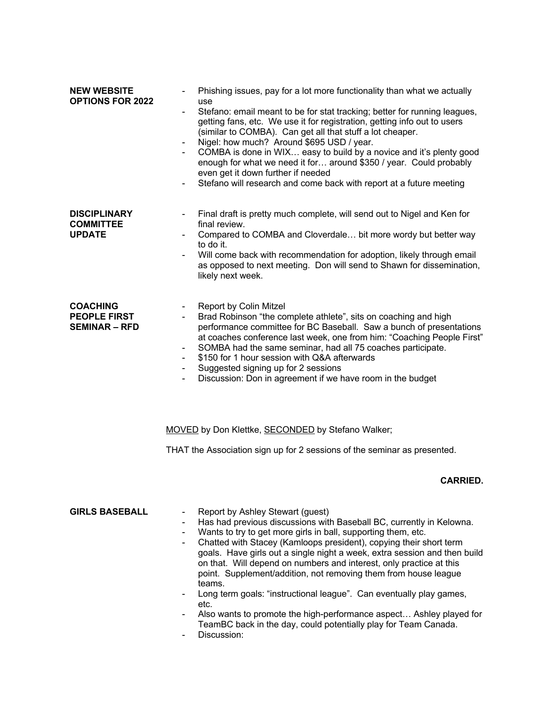| <b>NEW WEBSITE</b><br><b>OPTIONS FOR 2022</b>                  | Phishing issues, pay for a lot more functionality than what we actually<br>use<br>Stefano: email meant to be for stat tracking; better for running leagues,<br>$\overline{\phantom{a}}$<br>getting fans, etc. We use it for registration, getting info out to users<br>(similar to COMBA). Can get all that stuff a lot cheaper.<br>Nigel: how much? Around \$695 USD / year.<br>COMBA is done in WIX easy to build by a novice and it's plenty good<br>enough for what we need it for around \$350 / year. Could probably<br>even get it down further if needed<br>Stefano will research and come back with report at a future meeting                                                                                  |
|----------------------------------------------------------------|--------------------------------------------------------------------------------------------------------------------------------------------------------------------------------------------------------------------------------------------------------------------------------------------------------------------------------------------------------------------------------------------------------------------------------------------------------------------------------------------------------------------------------------------------------------------------------------------------------------------------------------------------------------------------------------------------------------------------|
| <b>DISCIPLINARY</b><br><b>COMMITTEE</b><br><b>UPDATE</b>       | Final draft is pretty much complete, will send out to Nigel and Ken for<br>final review.<br>Compared to COMBA and Cloverdale bit more wordy but better way<br>to do it.<br>Will come back with recommendation for adoption, likely through email<br>as opposed to next meeting. Don will send to Shawn for dissemination,<br>likely next week.                                                                                                                                                                                                                                                                                                                                                                           |
| <b>COACHING</b><br><b>PEOPLE FIRST</b><br><b>SEMINAR – RFD</b> | Report by Colin Mitzel<br>Brad Robinson "the complete athlete", sits on coaching and high<br>performance committee for BC Baseball. Saw a bunch of presentations<br>at coaches conference last week, one from him: "Coaching People First"<br>SOMBA had the same seminar, had all 75 coaches participate.<br>\$150 for 1 hour session with Q&A afterwards<br>Suggested signing up for 2 sessions<br>$\overline{\phantom{a}}$<br>Discussion: Don in agreement if we have room in the budget                                                                                                                                                                                                                               |
|                                                                | MOVED by Don Klettke, SECONDED by Stefano Walker;                                                                                                                                                                                                                                                                                                                                                                                                                                                                                                                                                                                                                                                                        |
|                                                                | THAT the Association sign up for 2 sessions of the seminar as presented.                                                                                                                                                                                                                                                                                                                                                                                                                                                                                                                                                                                                                                                 |
|                                                                | <b>CARRIED</b>                                                                                                                                                                                                                                                                                                                                                                                                                                                                                                                                                                                                                                                                                                           |
| <b>GIRLS BASEBALL</b>                                          | Report by Ashley Stewart (guest)<br>Has had previous discussions with Baseball BC, currently in Kelowna.<br>Wants to try to get more girls in ball, supporting them, etc.<br>Chatted with Stacey (Kamloops president), copying their short term<br>goals. Have girls out a single night a week, extra session and then build<br>on that. Will depend on numbers and interest, only practice at this<br>point. Supplement/addition, not removing them from house league<br>teams.<br>Long term goals: "instructional league". Can eventually play games,<br>etc.<br>Also wants to promote the high-performance aspect Ashley played for<br>TeamBC back in the day, could potentially play for Team Canada.<br>Discussion: |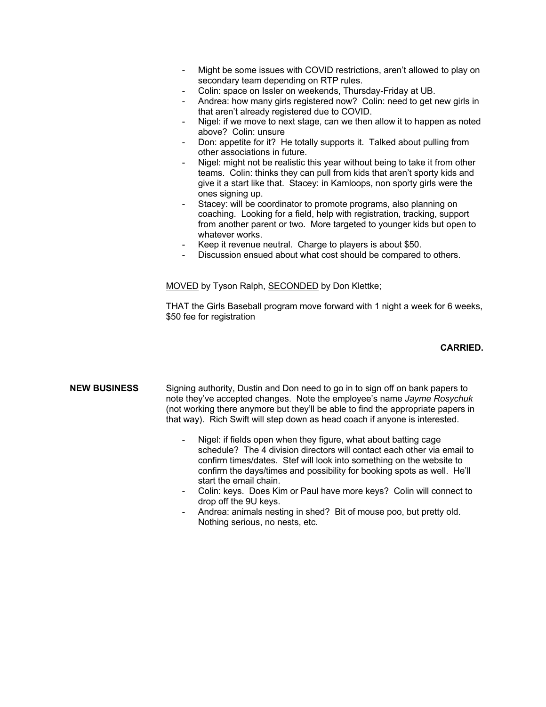- Might be some issues with COVID restrictions, aren't allowed to play on secondary team depending on RTP rules.
- Colin: space on Issler on weekends, Thursday-Friday at UB.
- Andrea: how many girls registered now? Colin: need to get new girls in that aren't already registered due to COVID.
- Nigel: if we move to next stage, can we then allow it to happen as noted above? Colin: unsure
- Don: appetite for it? He totally supports it. Talked about pulling from other associations in future.
- Nigel: might not be realistic this year without being to take it from other teams. Colin: thinks they can pull from kids that aren't sporty kids and give it a start like that. Stacey: in Kamloops, non sporty girls were the ones signing up.
- Stacey: will be coordinator to promote programs, also planning on coaching. Looking for a field, help with registration, tracking, support from another parent or two. More targeted to younger kids but open to whatever works.
- Keep it revenue neutral. Charge to players is about \$50.
- Discussion ensued about what cost should be compared to others.

MOVED by Tyson Ralph, SECONDED by Don Klettke;

THAT the Girls Baseball program move forward with 1 night a week for 6 weeks, \$50 fee for registration

#### **CARRIED.**

**NEW BUSINESS** Signing authority, Dustin and Don need to go in to sign off on bank papers to note they've accepted changes. Note the employee's name *Jayme Rosychuk* (not working there anymore but they'll be able to find the appropriate papers in that way). Rich Swift will step down as head coach if anyone is interested.

- Nigel: if fields open when they figure, what about batting cage schedule? The 4 division directors will contact each other via email to confirm times/dates. Stef will look into something on the website to confirm the days/times and possibility for booking spots as well. He'll start the email chain.
- Colin: keys. Does Kim or Paul have more keys? Colin will connect to drop off the 9U keys.
- Andrea: animals nesting in shed? Bit of mouse poo, but pretty old. Nothing serious, no nests, etc.